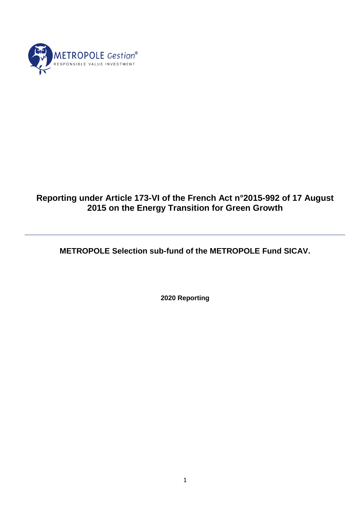

# **Reporting under Article 173-VI of the French Act n°2015-992 of 17 August 2015 on the Energy Transition for Green Growth**

**METROPOLE Selection sub-fund of the METROPOLE Fund SICAV.**

**2020 Reporting**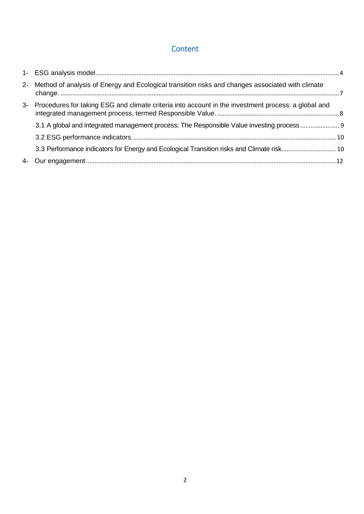## **Content**

|    | 2- Method of analysis of Energy and Ecological transition risks and changes associated with climate |  |
|----|-----------------------------------------------------------------------------------------------------|--|
| 3- | Procedures for taking ESG and climate criteria into account in the investment process: a global and |  |
|    | 3.1 A global and integrated management process: The Responsible Value investing process             |  |
|    |                                                                                                     |  |
|    | 3.3 Performance indicators for Energy and Ecological Transition risks and Climate risk 10           |  |
| 4- |                                                                                                     |  |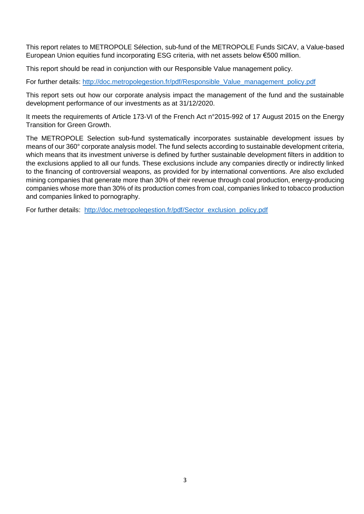This report relates to METROPOLE Sélection, sub-fund of the METROPOLE Funds SICAV, a Value-based European Union equities fund incorporating ESG criteria, with net assets below €500 million.

This report should be read in conjunction with our Responsible Value management policy.

For further details: [http://doc.metropolegestion.fr/pdf/Responsible\\_Value\\_management\\_policy.pdf](http://doc.metropolegestion.fr/pdf/Responsible_Value_management_policy.pdf)

This report sets out how our corporate analysis impact the management of the fund and the sustainable development performance of our investments as at 31/12/2020.

It meets the requirements of Article 173-VI of the French Act n°2015-992 of 17 August 2015 on the Energy Transition for Green Growth.

The METROPOLE Selection sub-fund systematically incorporates sustainable development issues by means of our 360° corporate analysis model. The fund selects according to sustainable development criteria, which means that its investment universe is defined by further sustainable development filters in addition to the exclusions applied to all our funds. These exclusions include any companies directly or indirectly linked to the financing of controversial weapons, as provided for by international conventions. Are also excluded mining companies that generate more than 30% of their revenue through coal production, energy-producing companies whose more than 30% of its production comes from coal, companies linked to tobacco production and companies linked to pornography.

For further details: [http://doc.metropolegestion.fr/pdf/Sector\\_exclusion\\_policy.pdf](http://doc.metropolegestion.fr/pdf/Sector_exclusion_policy.pdf)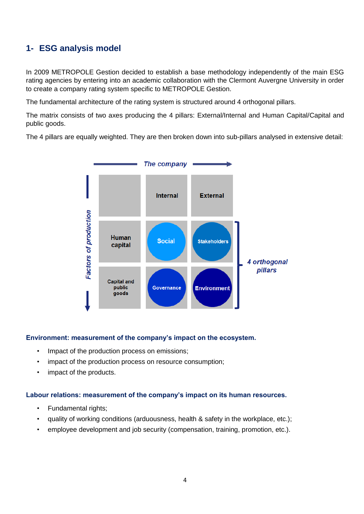# <span id="page-3-0"></span>**1- ESG analysis model**

In 2009 METROPOLE Gestion decided to establish a base methodology independently of the main ESG rating agencies by entering into an academic collaboration with the Clermont Auvergne University in order to create a company rating system specific to METROPOLE Gestion.

The fundamental architecture of the rating system is structured around 4 orthogonal pillars.

The matrix consists of two axes producing the 4 pillars: External/Internal and Human Capital/Capital and public goods.

The 4 pillars are equally weighted. They are then broken down into sub-pillars analysed in extensive detail:



#### **Environment: measurement of the company's impact on the ecosystem.**

- Impact of the production process on emissions;
- impact of the production process on resource consumption;
- impact of the products.

#### **Labour relations: measurement of the company's impact on its human resources.**

- Fundamental rights;
- quality of working conditions (arduousness, health & safety in the workplace, etc.);
- employee development and job security (compensation, training, promotion, etc.).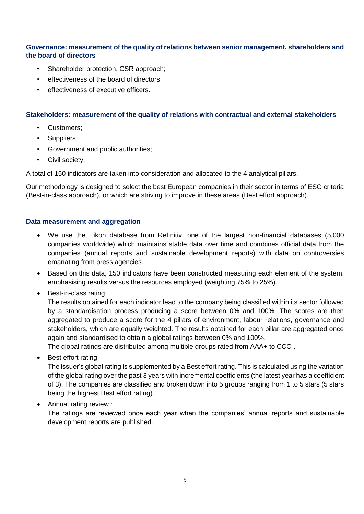### **Governance: measurement of the quality of relations between senior management, shareholders and the board of directors**

- Shareholder protection, CSR approach;
- effectiveness of the board of directors;
- effectiveness of executive officers.

### **Stakeholders: measurement of the quality of relations with contractual and external stakeholders**

- Customers;
- Suppliers;
- Government and public authorities;
- Civil society.

A total of 150 indicators are taken into consideration and allocated to the 4 analytical pillars.

Our methodology is designed to select the best European companies in their sector in terms of ESG criteria (Best-in-class approach), or which are striving to improve in these areas (Best effort approach).

### **Data measurement and aggregation**

- We use the Eikon database from Refinitiv, one of the largest non-financial databases (5,000 companies worldwide) which maintains stable data over time and combines official data from the companies (annual reports and sustainable development reports) with data on controversies emanating from press agencies.
- Based on this data, 150 indicators have been constructed measuring each element of the system, emphasising results versus the resources employed (weighting 75% to 25%).
- Best-in-class rating:

The results obtained for each indicator lead to the company being classified within its sector followed by a standardisation process producing a score between 0% and 100%. The scores are then aggregated to produce a score for the 4 pillars of environment, labour relations, governance and stakeholders, which are equally weighted. The results obtained for each pillar are aggregated once again and standardised to obtain a global ratings between 0% and 100%.

The global ratings are distributed among multiple groups rated from AAA+ to CCC-.

Best effort rating:

The issuer's global rating is supplemented by a Best effort rating. This is calculated using the variation of the global rating over the past 3 years with incremental coefficients (the latest year has a coefficient of 3). The companies are classified and broken down into 5 groups ranging from 1 to 5 stars (5 stars being the highest Best effort rating).

Annual rating review :

The ratings are reviewed once each year when the companies' annual reports and sustainable development reports are published.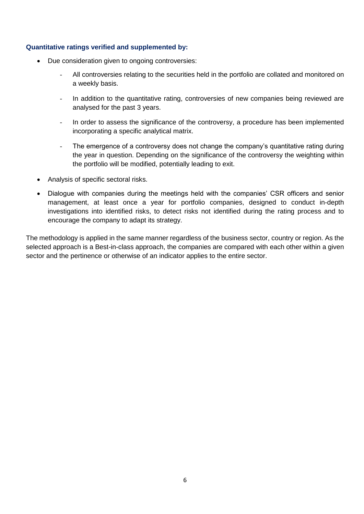#### **Quantitative ratings verified and supplemented by:**

- Due consideration given to ongoing controversies:
	- All controversies relating to the securities held in the portfolio are collated and monitored on a weekly basis.
	- In addition to the quantitative rating, controversies of new companies being reviewed are analysed for the past 3 years.
	- In order to assess the significance of the controversy, a procedure has been implemented incorporating a specific analytical matrix.
	- The emergence of a controversy does not change the company's quantitative rating during the year in question. Depending on the significance of the controversy the weighting within the portfolio will be modified, potentially leading to exit.
- Analysis of specific sectoral risks.
- Dialogue with companies during the meetings held with the companies' CSR officers and senior management, at least once a year for portfolio companies, designed to conduct in-depth investigations into identified risks, to detect risks not identified during the rating process and to encourage the company to adapt its strategy.

The methodology is applied in the same manner regardless of the business sector, country or region. As the selected approach is a Best-in-class approach, the companies are compared with each other within a given sector and the pertinence or otherwise of an indicator applies to the entire sector.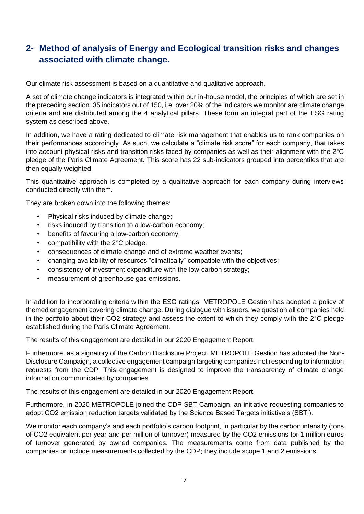# <span id="page-6-0"></span>**2- Method of analysis of Energy and Ecological transition risks and changes associated with climate change.**

Our climate risk assessment is based on a quantitative and qualitative approach.

A set of climate change indicators is integrated within our in-house model, the principles of which are set in the preceding section. 35 indicators out of 150, i.e. over 20% of the indicators we monitor are climate change criteria and are distributed among the 4 analytical pillars. These form an integral part of the ESG rating system as described above.

In addition, we have a rating dedicated to climate risk management that enables us to rank companies on their performances accordingly. As such, we calculate a "climate risk score" for each company, that takes into account physical risks and transition risks faced by companies as well as their alignment with the 2°C pledge of the Paris Climate Agreement. This score has 22 sub-indicators grouped into percentiles that are then equally weighted.

This quantitative approach is completed by a qualitative approach for each company during interviews conducted directly with them.

They are broken down into the following themes:

- Physical risks induced by climate change;
- risks induced by transition to a low-carbon economy;
- benefits of favouring a low-carbon economy:
- compatibility with the 2°C pledge;
- consequences of climate change and of extreme weather events;
- changing availability of resources "climatically" compatible with the objectives;
- consistency of investment expenditure with the low-carbon strategy;
- measurement of greenhouse gas emissions.

In addition to incorporating criteria within the ESG ratings, METROPOLE Gestion has adopted a policy of themed engagement covering climate change. During dialogue with issuers, we question all companies held in the portfolio about their CO2 strategy and assess the extent to which they comply with the 2°C pledge established during the Paris Climate Agreement.

The results of this engagement are detailed in our 2020 Engagement Report.

Furthermore, as a signatory of the Carbon Disclosure Project, METROPOLE Gestion has adopted the Non-Disclosure Campaign, a collective engagement campaign targeting companies not responding to information requests from the CDP. This engagement is designed to improve the transparency of climate change information communicated by companies.

The results of this engagement are detailed in our 2020 Engagement Report.

Furthermore, in 2020 METROPOLE joined the CDP SBT Campaign, an initiative requesting companies to adopt CO2 emission reduction targets validated by the Science Based Targets initiative's (SBTi).

We monitor each company's and each portfolio's carbon footprint, in particular by the carbon intensity (tons of CO2 equivalent per year and per million of turnover) measured by the CO2 emissions for 1 million euros of turnover generated by owned companies. The measurements come from data published by the companies or include measurements collected by the CDP; they include scope 1 and 2 emissions.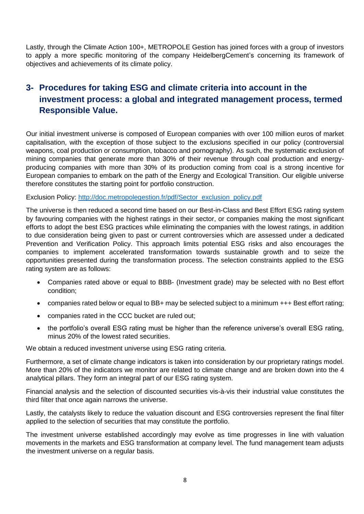Lastly, through the Climate Action 100+, METROPOLE Gestion has joined forces with a group of investors to apply a more specific monitoring of the company HeidelbergCement's concerning its framework of objectives and achievements of its climate policy.

# <span id="page-7-0"></span>**3- Procedures for taking ESG and climate criteria into account in the investment process: a global and integrated management process, termed Responsible Value.**

Our initial investment universe is composed of European companies with over 100 million euros of market capitalisation, with the exception of those subject to the exclusions specified in our policy (controversial weapons, coal production or consumption, tobacco and pornography). As such, the systematic exclusion of mining companies that generate more than 30% of their revenue through coal production and energyproducing companies with more than 30% of its production coming from coal is a strong incentive for European companies to embark on the path of the Energy and Ecological Transition. Our eligible universe therefore constitutes the starting point for portfolio construction.

Exclusion Policy: [http://doc.metropolegestion.fr/pdf/Sector\\_exclusion\\_policy.pdf](http://doc.metropolegestion.fr/pdf/Sector_exclusion_policy.pdf)

The universe is then reduced a second time based on our Best-in-Class and Best Effort ESG rating system by favouring companies with the highest ratings in their sector, or companies making the most significant efforts to adopt the best ESG practices while eliminating the companies with the lowest ratings, in addition to due consideration being given to past or current controversies which are assessed under a dedicated Prevention and Verification Policy. This approach limits potential ESG risks and also encourages the companies to implement accelerated transformation towards sustainable growth and to seize the opportunities presented during the transformation process. The selection constraints applied to the ESG rating system are as follows:

- Companies rated above or equal to BBB- (Investment grade) may be selected with no Best effort condition;
- companies rated below or equal to BB+ may be selected subject to a minimum +++ Best effort rating;
- companies rated in the CCC bucket are ruled out;
- the portfolio's overall ESG rating must be higher than the reference universe's overall ESG rating, minus 20% of the lowest rated securities.

We obtain a reduced investment universe using ESG rating criteria.

Furthermore, a set of climate change indicators is taken into consideration by our proprietary ratings model. More than 20% of the indicators we monitor are related to climate change and are broken down into the 4 analytical pillars. They form an integral part of our ESG rating system.

Financial analysis and the selection of discounted securities vis-à-vis their industrial value constitutes the third filter that once again narrows the universe.

Lastly, the catalysts likely to reduce the valuation discount and ESG controversies represent the final filter applied to the selection of securities that may constitute the portfolio.

The investment universe established accordingly may evolve as time progresses in line with valuation movements in the markets and ESG transformation at company level. The fund management team adjusts the investment universe on a regular basis.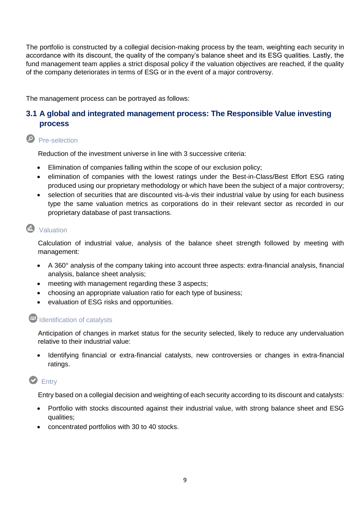The portfolio is constructed by a collegial decision-making process by the team, weighting each security in accordance with its discount, the quality of the company's balance sheet and its ESG qualities. Lastly, the fund management team applies a strict disposal policy if the valuation objectives are reached, if the quality of the company deteriorates in terms of ESG or in the event of a major controversy.

The management process can be portrayed as follows:

## <span id="page-8-0"></span>**3.1 A global and integrated management process: The Responsible Value investing process**

## **P** Pre-selection

Reduction of the investment universe in line with 3 successive criteria:

- Elimination of companies falling within the scope of our exclusion policy;
- elimination of companies with the lowest ratings under the Best-in-Class/Best Effort ESG rating produced using our proprietary methodology or which have been the subject of a major controversy;
- selection of securities that are discounted vis-à-vis their industrial value by using for each business type the same valuation metrics as corporations do in their relevant sector as recorded in our proprietary database of past transactions.

# **K** Valuation

Calculation of industrial value, analysis of the balance sheet strength followed by meeting with management:

- A 360° analysis of the company taking into account three aspects: extra-financial analysis, financial analysis, balance sheet analysis;
- meeting with management regarding these 3 aspects;
- choosing an appropriate valuation ratio for each type of business;
- evaluation of ESG risks and opportunities.

# **40** Identification of catalysts

Anticipation of changes in market status for the security selected, likely to reduce any undervaluation relative to their industrial value:

Identifying financial or extra-financial catalysts, new controversies or changes in extra-financial ratings.

## **D** Entry

Entry based on a collegial decision and weighting of each security according to its discount and catalysts:

- Portfolio with stocks discounted against their industrial value, with strong balance sheet and ESG qualities;
- concentrated portfolios with 30 to 40 stocks.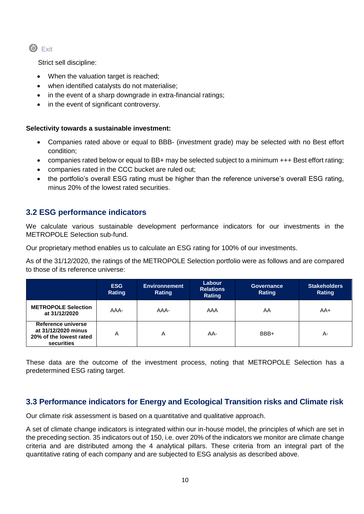$\bullet$  Exit

Strict sell discipline:

- When the valuation target is reached;
- when identified catalysts do not materialise;
- in the event of a sharp downgrade in extra-financial ratings;
- in the event of significant controversy.

### **Selectivity towards a sustainable investment:**

- Companies rated above or equal to BBB- (investment grade) may be selected with no Best effort condition;
- companies rated below or equal to BB+ may be selected subject to a minimum +++ Best effort rating;
- companies rated in the CCC bucket are ruled out;
- the portfolio's overall ESG rating must be higher than the reference universe's overall ESG rating, minus 20% of the lowest rated securities.

## <span id="page-9-0"></span>**3.2 ESG performance indicators**

We calculate various sustainable development performance indicators for our investments in the METROPOLE SeIection sub-fund.

Our proprietary method enables us to calculate an ESG rating for 100% of our investments.

As of the 31/12/2020, the ratings of the METROPOLE Selection portfolio were as follows and are compared to those of its reference universe:

|                                                                                    | <b>ESG</b><br>Rating | <b>Environnement</b><br>Rating | Labour<br><b>Relations</b><br>Rating | <b>Governance</b><br>Rating | <b>Stakeholders</b><br>Rating |
|------------------------------------------------------------------------------------|----------------------|--------------------------------|--------------------------------------|-----------------------------|-------------------------------|
| <b>METROPOLE Selection</b><br>at 31/12/2020                                        | AAA-                 | AAA-                           | AAA                                  | AA                          | AA+                           |
| Reference universe<br>at 31/12/2020 minus<br>20% of the lowest rated<br>securities | Α                    | A                              | AA-                                  | BBB+                        | $A -$                         |

These data are the outcome of the investment process, noting that METROPOLE Selection has a predetermined ESG rating target.

## <span id="page-9-1"></span>**3.3 Performance indicators for Energy and Ecological Transition risks and Climate risk**

Our climate risk assessment is based on a quantitative and qualitative approach.

A set of climate change indicators is integrated within our in-house model, the principles of which are set in the preceding section. 35 indicators out of 150, i.e. over 20% of the indicators we monitor are climate change criteria and are distributed among the 4 analytical pillars. These criteria from an integral part of the quantitative rating of each company and are subjected to ESG analysis as described above.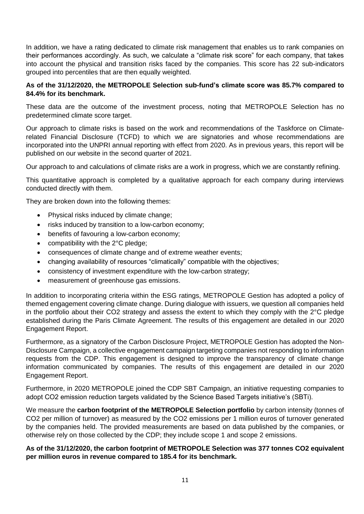In addition, we have a rating dedicated to climate risk management that enables us to rank companies on their performances accordingly. As such, we calculate a "climate risk score" for each company, that takes into account the physical and transition risks faced by the companies. This score has 22 sub-indicators grouped into percentiles that are then equally weighted.

### **As of the 31/12/2020, the METROPOLE Selection sub-fund's climate score was 85.7% compared to 84.4% for its benchmark.**

These data are the outcome of the investment process, noting that METROPOLE Selection has no predetermined climate score target.

Our approach to climate risks is based on the work and recommendations of the Taskforce on Climaterelated Financial Disclosure (TCFD) to which we are signatories and whose recommendations are incorporated into the UNPRI annual reporting with effect from 2020. As in previous years, this report will be published on our website in the second quarter of 2021.

Our approach to and calculations of climate risks are a work in progress, which we are constantly refining.

This quantitative approach is completed by a qualitative approach for each company during interviews conducted directly with them.

They are broken down into the following themes:

- Physical risks induced by climate change;
- risks induced by transition to a low-carbon economy;
- benefits of favouring a low-carbon economy;
- compatibility with the 2°C pledge;
- consequences of climate change and of extreme weather events;
- changing availability of resources "climatically" compatible with the objectives;
- consistency of investment expenditure with the low-carbon strategy;
- measurement of greenhouse gas emissions.

In addition to incorporating criteria within the ESG ratings, METROPOLE Gestion has adopted a policy of themed engagement covering climate change. During dialogue with issuers, we question all companies held in the portfolio about their CO2 strategy and assess the extent to which they comply with the 2°C pledge established during the Paris Climate Agreement. The results of this engagement are detailed in our 2020 Engagement Report.

Furthermore, as a signatory of the Carbon Disclosure Project, METROPOLE Gestion has adopted the Non-Disclosure Campaign, a collective engagement campaign targeting companies not responding to information requests from the CDP. This engagement is designed to improve the transparency of climate change information communicated by companies. The results of this engagement are detailed in our 2020 Engagement Report.

Furthermore, in 2020 METROPOLE joined the CDP SBT Campaign, an initiative requesting companies to adopt CO2 emission reduction targets validated by the Science Based Targets initiative's (SBTi).

We measure the **carbon footprint of the METROPOLE Selection portfolio** by carbon intensity (tonnes of CO2 per million of turnover) as measured by the CO2 emissions per 1 million euros of turnover generated by the companies held. The provided measurements are based on data published by the companies, or otherwise rely on those collected by the CDP; they include scope 1 and scope 2 emissions.

#### **As of the 31/12/2020, the carbon footprint of METROPOLE Selection was 377 tonnes CO2 equivalent per million euros in revenue compared to 185.4 for its benchmark.**